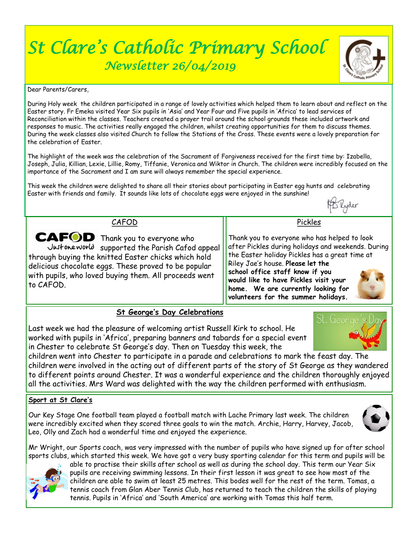# *St Clare's Catholic Primary School Newsletter 26/04/2019*



Dear Parents/Carers,

During Holy week the children participated in a range of lovely activities which helped them to learn about and reflect on the Easter story. Fr Emeka visited Year Six pupils in 'Asia' and Year Four and Five pupils in 'Africa' to lead services of Reconciliation within the classes. Teachers created a prayer trail around the school grounds these included artwork and responses to music. The activities really engaged the children, whilst creating opportunities for them to discuss themes. During the week classes also visited Church to follow the Stations of the Cross. These events were a lovely preparation for the celebration of Easter.

The highlight of the week was the celebration of the Sacrament of Forgiveness received for the first time by: Izabella, Joseph, Julia, Killian, Lexie, Lillie, Romy, Tiffanie, Veronica and Wiktor in Church. The children were incredibly focused on the importance of the Sacrament and I am sure will always remember the special experience.

This week the children were delighted to share all their stories about participating in Easter egg hunts and celebrating Easter with friends and family. It sounds like lots of chocolate eggs were enjoyed in the sunshine!



Geord

CAFOD

CAFOD Thank you to everyone who Just one world supported the Parish Cafod appeal through buying the knitted Easter chicks which hold delicious chocolate eggs. These proved to be popular with pupils, who loved buying them. All proceeds went to CAFOD.

Thank you to everyone who has helped to look after Pickles during holidays and weekends. During the Easter holiday Pickles has a great time at Riley Jae's house. **Please let the school office staff know if you would like to have Pickles visit your home. We are currently looking for volunteers for the summer holidays.**

Pickles

### **St George's Day Celebrations**

Last week we had the pleasure of welcoming artist Russell Kirk to school. He worked with pupils in 'Africa', preparing banners and tabards for a special event in Chester to celebrate St George's day. Then on Tuesday this week, the

children went into Chester to participate in a parade and celebrations to mark the feast day. The children were involved in the acting out of different parts of the story of St George as they wandered to different points around Chester. It was a wonderful experience and the children thoroughly enjoyed all the activities. Mrs Ward was delighted with the way the children performed with enthusiasm.

#### **Sport at St Clare's**

Our Key Stage One football team played a football match with Lache Primary last week. The children were incredibly excited when they scored three goals to win the match. Archie, Harry, Harvey, Jacob, Leo, Olly and Zach had a wonderful time and enjoyed the experience.



Mr Wright, our Sports coach, was very impressed with the number of pupils who have signed up for after school sports clubs, which started this week. We have got a very busy sporting calendar for this term and pupils will be



able to practise their skills after school as well as during the school day. This term our Year Six pupils are receiving swimming lessons. In their first lesson it was great to see how most of the children are able to swim at least 25 metres. This bodes well for the rest of the term. Tomas, a tennis coach from Glan Aber Tennis Club, has returned to teach the children the skills of playing tennis. Pupils in 'Africa' and 'South America' are working with Tomas this half term.